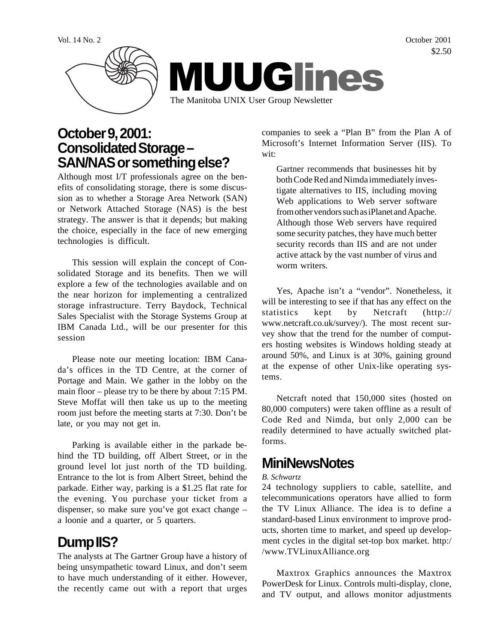Vol. 14 No. 2 October 2001 \$2.50



### **October 9, 2001: Consolidated Storage – SAN/NAS or something else?**

Although most I/T professionals agree on the benefits of consolidating storage, there is some discussion as to whether a Storage Area Network (SAN) or Network Attached Storage (NAS) is the best strategy. The answer is that it depends; but making the choice, especially in the face of new emerging technologies is difficult.

This session will explain the concept of Consolidated Storage and its benefits. Then we will explore a few of the technologies available and on the near horizon for implementing a centralized storage infrastructure. Terry Baydock, Technical Sales Specialist with the Storage Systems Group at IBM Canada Ltd., will be our presenter for this session

Please note our meeting location: IBM Canada's offices in the TD Centre, at the corner of Portage and Main. We gather in the lobby on the main floor – please try to be there by about 7:15 PM. Steve Moffat will then take us up to the meeting room just before the meeting starts at 7:30. Don't be late, or you may not get in.

Parking is available either in the parkade behind the TD building, off Albert Street, or in the ground level lot just north of the TD building. Entrance to the lot is from Albert Street, behind the parkade. Either way, parking is a \$1.25 flat rate for the evening. You purchase your ticket from a dispenser, so make sure you've got exact change – a loonie and a quarter, or 5 quarters.

# **Dump IIS?**

The analysts at The Gartner Group have a history of being unsympathetic toward Linux, and don't seem to have much understanding of it either. However, the recently came out with a report that urges companies to seek a "Plan B" from the Plan A of Microsoft's Internet Information Server (IIS). To wit:

Gartner recommends that businesses hit by both Code Red and Nimda immediately investigate alternatives to IIS, including moving Web applications to Web server software from other vendors such as iPlanet and Apache. Although those Web servers have required some security patches, they have much better security records than IIS and are not under active attack by the vast number of virus and worm writers.

Yes, Apache isn't a "vendor". Nonetheless, it will be interesting to see if that has any effect on the statistics kept by Netcraft (http:// www.netcraft.co.uk/survey/). The most recent survey show that the trend for the number of computers hosting websites is Windows holding steady at around 50%, and Linux is at 30%, gaining ground at the expense of other Unix-like operating systems.

Netcraft noted that 150,000 sites (hosted on 80,000 computers) were taken offline as a result of Code Red and Nimda, but only 2,000 can be readily determined to have actually switched platforms.

## **MiniNewsNotes**

#### *B. Schwartz*

24 technology suppliers to cable, satellite, and telecommunications operators have allied to form the TV Linux Alliance. The idea is to define a standard-based Linux environment to improve products, shorten time to market, and speed up development cycles in the digital set-top box market. http:/ /www.TVLinuxAlliance.org

Maxtrox Graphics announces the Maxtrox PowerDesk for Linux. Controls multi-display, clone, and TV output, and allows monitor adjustments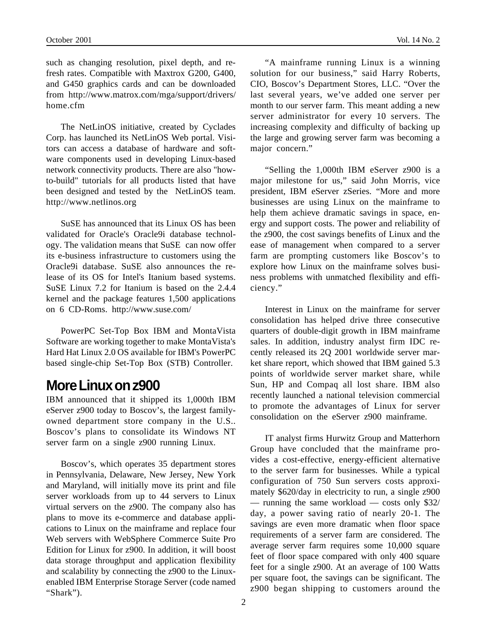such as changing resolution, pixel depth, and refresh rates. Compatible with Maxtrox G200, G400, and G450 graphics cards and can be downloaded from http://www.matrox.com/mga/support/drivers/ home.cfm

The NetLinOS initiative, created by Cyclades Corp. has launched its NetLinOS Web portal. Visitors can access a database of hardware and software components used in developing Linux-based network connectivity products. There are also "howto-build" tutorials for all products listed that have been designed and tested by the NetLinOS team. http://www.netlinos.org

SuSE has announced that its Linux OS has been validated for Oracle's Oracle9i database technology. The validation means that SuSE can now offer its e-business infrastructure to customers using the Oracle9i database. SuSE also announces the release of its OS for Intel's Itanium based systems. SuSE Linux 7.2 for Itanium is based on the 2.4.4 kernel and the package features 1,500 applications on 6 CD-Roms. http://www.suse.com/

PowerPC Set-Top Box IBM and MontaVista Software are working together to make MontaVista's Hard Hat Linux 2.0 OS available for IBM's PowerPC based single-chip Set-Top Box (STB) Controller.

#### **More Linux on z900**

IBM announced that it shipped its 1,000th IBM eServer z900 today to Boscov's, the largest familyowned department store company in the U.S.. Boscov's plans to consolidate its Windows NT server farm on a single z900 running Linux.

Boscov's, which operates 35 department stores in Pennsylvania, Delaware, New Jersey, New York and Maryland, will initially move its print and file server workloads from up to 44 servers to Linux virtual servers on the z900. The company also has plans to move its e-commerce and database applications to Linux on the mainframe and replace four Web servers with WebSphere Commerce Suite Pro Edition for Linux for z900. In addition, it will boost data storage throughput and application flexibility and scalability by connecting the z900 to the Linuxenabled IBM Enterprise Storage Server (code named "Shark").

"A mainframe running Linux is a winning solution for our business," said Harry Roberts, CIO, Boscov's Department Stores, LLC. "Over the last several years, we've added one server per month to our server farm. This meant adding a new server administrator for every 10 servers. The increasing complexity and difficulty of backing up the large and growing server farm was becoming a major concern."

"Selling the 1,000th IBM eServer z900 is a major milestone for us," said John Morris, vice president, IBM eServer zSeries. "More and more businesses are using Linux on the mainframe to help them achieve dramatic savings in space, energy and support costs. The power and reliability of the z900, the cost savings benefits of Linux and the ease of management when compared to a server farm are prompting customers like Boscov's to explore how Linux on the mainframe solves business problems with unmatched flexibility and efficiency."

Interest in Linux on the mainframe for server consolidation has helped drive three consecutive quarters of double-digit growth in IBM mainframe sales. In addition, industry analyst firm IDC recently released its 2Q 2001 worldwide server market share report, which showed that IBM gained 5.3 points of worldwide server market share, while Sun, HP and Compaq all lost share. IBM also recently launched a national television commercial to promote the advantages of Linux for server consolidation on the eServer z900 mainframe.

IT analyst firms Hurwitz Group and Matterhorn Group have concluded that the mainframe provides a cost-effective, energy-efficient alternative to the server farm for businesses. While a typical configuration of 750 Sun servers costs approximately \$620/day in electricity to run, a single z900 — running the same workload — costs only \$32/ day, a power saving ratio of nearly 20-1. The savings are even more dramatic when floor space requirements of a server farm are considered. The average server farm requires some 10,000 square feet of floor space compared with only 400 square feet for a single z900. At an average of 100 Watts per square foot, the savings can be significant. The z900 began shipping to customers around the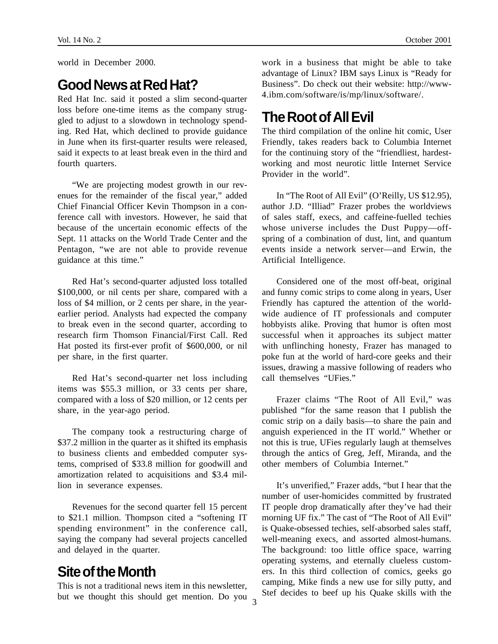world in December 2000.

#### **Good News at Red Hat?**

Red Hat Inc. said it posted a slim second-quarter loss before one-time items as the company struggled to adjust to a slowdown in technology spending. Red Hat, which declined to provide guidance in June when its first-quarter results were released, said it expects to at least break even in the third and fourth quarters.

"We are projecting modest growth in our revenues for the remainder of the fiscal year," added Chief Financial Officer Kevin Thompson in a conference call with investors. However, he said that because of the uncertain economic effects of the Sept. 11 attacks on the World Trade Center and the Pentagon, "we are not able to provide revenue guidance at this time."

Red Hat's second-quarter adjusted loss totalled \$100,000, or nil cents per share, compared with a loss of \$4 million, or 2 cents per share, in the yearearlier period. Analysts had expected the company to break even in the second quarter, according to research firm Thomson Financial/First Call. Red Hat posted its first-ever profit of \$600,000, or nil per share, in the first quarter.

Red Hat's second-quarter net loss including items was \$55.3 million, or 33 cents per share, compared with a loss of \$20 million, or 12 cents per share, in the year-ago period.

The company took a restructuring charge of \$37.2 million in the quarter as it shifted its emphasis to business clients and embedded computer systems, comprised of \$33.8 million for goodwill and amortization related to acquisitions and \$3.4 million in severance expenses.

Revenues for the second quarter fell 15 percent to \$21.1 million. Thompson cited a "softening IT spending environment" in the conference call, saying the company had several projects cancelled and delayed in the quarter.

#### **Site of the Month**

but we thought this should get mention. Do you 3 This is not a traditional news item in this newsletter,

work in a business that might be able to take advantage of Linux? IBM says Linux is "Ready for Business". Do check out their website: http://www-4.ibm.com/software/is/mp/linux/software/.

## **The Root of All Evil**

The third compilation of the online hit comic, User Friendly, takes readers back to Columbia Internet for the continuing story of the "friendliest, hardestworking and most neurotic little Internet Service Provider in the world".

In "The Root of All Evil" (O'Reilly, US \$12.95), author J.D. "Illiad" Frazer probes the worldviews of sales staff, execs, and caffeine-fuelled techies whose universe includes the Dust Puppy—offspring of a combination of dust, lint, and quantum events inside a network server—and Erwin, the Artificial Intelligence.

Considered one of the most off-beat, original and funny comic strips to come along in years, User Friendly has captured the attention of the worldwide audience of IT professionals and computer hobbyists alike. Proving that humor is often most successful when it approaches its subject matter with unflinching honesty, Frazer has managed to poke fun at the world of hard-core geeks and their issues, drawing a massive following of readers who call themselves "UFies."

Frazer claims "The Root of All Evil," was published "for the same reason that I publish the comic strip on a daily basis—to share the pain and anguish experienced in the IT world." Whether or not this is true, UFies regularly laugh at themselves through the antics of Greg, Jeff, Miranda, and the other members of Columbia Internet"

It's unverified," Frazer adds, "but I hear that the number of user-homicides committed by frustrated IT people drop dramatically after they've had their morning UF fix." The cast of "The Root of All Evil" is Quake-obsessed techies, self-absorbed sales staff, well-meaning execs, and assorted almost-humans. The background: too little office space, warring operating systems, and eternally clueless customers. In this third collection of comics, geeks go camping, Mike finds a new use for silly putty, and Stef decides to beef up his Quake skills with the